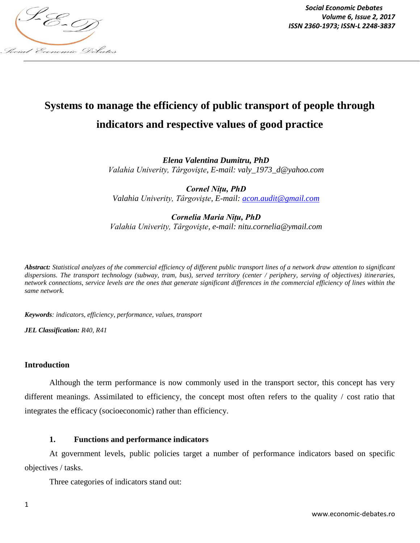

*Social Economic Debates Volume 6, Issue 2, 2017*

# **Systems to manage the efficiency of public transport of people through indicators and respective values of good practice**

*Elena Valentina Dumitru, PhD Valahia Univerity, Târgovişte, E-mail: valy\_1973\_d@yahoo.com*

*Cornel Nițu, PhD Valahia Univerity, Târgovişte, E-mail: acon.audit@gmail.com*

*Cornelia Maria Nițu, PhD Valahia Univerity, Târgovişte, e-mail: nitu.cornelia@ymail.com*

*Abstract: Statistical analyzes of the commercial efficiency of different public transport lines of a network draw attention to significant dispersions. The transport technology (subway, tram, bus), served territory (center / periphery, serving of objectives) itineraries, network connections, service levels are the ones that generate significant differences in the commercial efficiency of lines within the same network.*

*Keywords: indicators, efficiency, performance, values, transport*

*JEL Classification: R40, R41*

#### **Introduction**

Although the term performance is now commonly used in the transport sector, this concept has very different meanings. Assimilated to efficiency, the concept most often refers to the quality / cost ratio that integrates the efficacy (socioeconomic) rather than efficiency.

## **1. Functions and performance indicators**

At government levels, public policies target a number of performance indicators based on specific objectives / tasks.

Three categories of indicators stand out: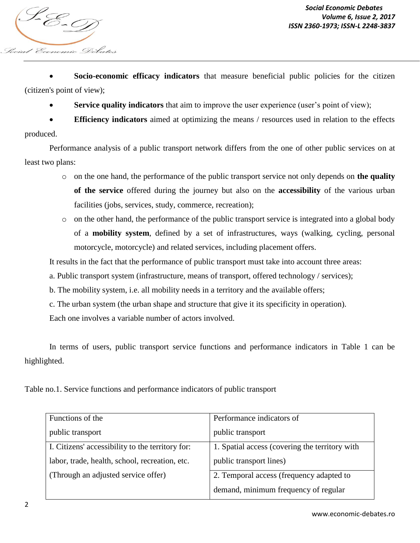focial Economic Debates

*Social Economic Debates Volume 6, Issue 2, 2017 VOIUME 0, ISSN 2360-1973; ISSN-L 2248-3837*<br>ISSN 2360-1973; ISSN-L 2248-3837

 **Socio-economic efficacy indicators** that measure beneficial public policies for the citizen (citizen's point of view);

**Service quality indicators** that aim to improve the user experience (user's point of view);

 **Efficiency indicators** aimed at optimizing the means / resources used in relation to the effects produced.

Performance analysis of a public transport network differs from the one of other public services on at least two plans:

- o on the one hand, the performance of the public transport service not only depends on **the quality of the service** offered during the journey but also on the **accessibility** of the various urban facilities (jobs, services, study, commerce, recreation);
- o on the other hand, the performance of the public transport service is integrated into a global body of a **mobility system**, defined by a set of infrastructures, ways (walking, cycling, personal motorcycle, motorcycle) and related services, including placement offers.

It results in the fact that the performance of public transport must take into account three areas:

- a. Public transport system (infrastructure, means of transport, offered technology / services);
- b. The mobility system, i.e. all mobility needs in a territory and the available offers;
- c. The urban system (the urban shape and structure that give it its specificity in operation).

Each one involves a variable number of actors involved.

In terms of users, public transport service functions and performance indicators in Table 1 can be highlighted.

Table no.1. Service functions and performance indicators of public transport

| Functions of the                                 | Performance indicators of                      |
|--------------------------------------------------|------------------------------------------------|
| public transport                                 | public transport                               |
| I. Citizens' accessibility to the territory for: | 1. Spatial access (covering the territory with |
| labor, trade, health, school, recreation, etc.   | public transport lines)                        |
| (Through an adjusted service offer)              | 2. Temporal access (frequency adapted to       |
|                                                  | demand, minimum frequency of regular           |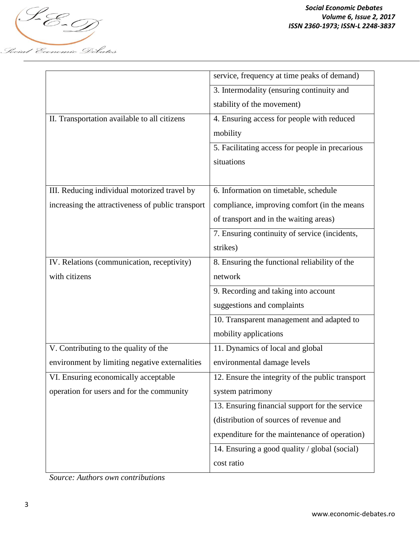

|                                                   | service, frequency at time peaks of demand)      |
|---------------------------------------------------|--------------------------------------------------|
|                                                   | 3. Intermodality (ensuring continuity and        |
|                                                   | stability of the movement)                       |
| II. Transportation available to all citizens      | 4. Ensuring access for people with reduced       |
|                                                   | mobility                                         |
|                                                   | 5. Facilitating access for people in precarious  |
|                                                   | situations                                       |
|                                                   |                                                  |
| III. Reducing individual motorized travel by      | 6. Information on timetable, schedule            |
| increasing the attractiveness of public transport | compliance, improving comfort (in the means      |
|                                                   | of transport and in the waiting areas)           |
|                                                   | 7. Ensuring continuity of service (incidents,    |
|                                                   | strikes)                                         |
| IV. Relations (communication, receptivity)        | 8. Ensuring the functional reliability of the    |
| with citizens                                     | network                                          |
|                                                   | 9. Recording and taking into account             |
|                                                   | suggestions and complaints                       |
|                                                   | 10. Transparent management and adapted to        |
|                                                   | mobility applications                            |
| V. Contributing to the quality of the             | 11. Dynamics of local and global                 |
| environment by limiting negative externalities    | environmental damage levels                      |
| VI. Ensuring economically acceptable              | 12. Ensure the integrity of the public transport |
| operation for users and for the community         | system patrimony                                 |
|                                                   | 13. Ensuring financial support for the service   |
|                                                   | (distribution of sources of revenue and          |
|                                                   | expenditure for the maintenance of operation)    |
|                                                   | 14. Ensuring a good quality / global (social)    |
|                                                   | cost ratio                                       |

*Source: Authors own contributions*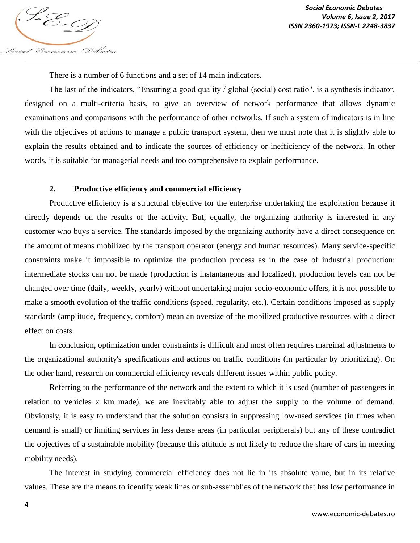There is a number of 6 functions and a set of 14 main indicators.

Social Economic Debates

The last of the indicators, "Ensuring a good quality / global (social) cost ratio", is a synthesis indicator, designed on a multi-criteria basis, to give an overview of network performance that allows dynamic examinations and comparisons with the performance of other networks. If such a system of indicators is in line with the objectives of actions to manage a public transport system, then we must note that it is slightly able to explain the results obtained and to indicate the sources of efficiency or inefficiency of the network. In other words, it is suitable for managerial needs and too comprehensive to explain performance.

## **2. Productive efficiency and commercial efficiency**

Productive efficiency is a structural objective for the enterprise undertaking the exploitation because it directly depends on the results of the activity. But, equally, the organizing authority is interested in any customer who buys a service. The standards imposed by the organizing authority have a direct consequence on the amount of means mobilized by the transport operator (energy and human resources). Many service-specific constraints make it impossible to optimize the production process as in the case of industrial production: intermediate stocks can not be made (production is instantaneous and localized), production levels can not be changed over time (daily, weekly, yearly) without undertaking major socio-economic offers, it is not possible to make a smooth evolution of the traffic conditions (speed, regularity, etc.). Certain conditions imposed as supply standards (amplitude, frequency, comfort) mean an oversize of the mobilized productive resources with a direct effect on costs.

In conclusion, optimization under constraints is difficult and most often requires marginal adjustments to the organizational authority's specifications and actions on traffic conditions (in particular by prioritizing). On the other hand, research on commercial efficiency reveals different issues within public policy.

Referring to the performance of the network and the extent to which it is used (number of passengers in relation to vehicles x km made), we are inevitably able to adjust the supply to the volume of demand. Obviously, it is easy to understand that the solution consists in suppressing low-used services (in times when demand is small) or limiting services in less dense areas (in particular peripherals) but any of these contradict the objectives of a sustainable mobility (because this attitude is not likely to reduce the share of cars in meeting mobility needs).

The interest in studying commercial efficiency does not lie in its absolute value, but in its relative values. These are the means to identify weak lines or sub-assemblies of the network that has low performance in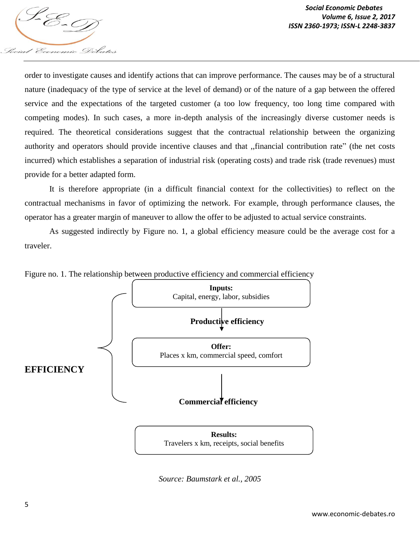

order to investigate causes and identify actions that can improve performance. The causes may be of a structural nature (inadequacy of the type of service at the level of demand) or of the nature of a gap between the offered service and the expectations of the targeted customer (a too low frequency, too long time compared with competing modes). In such cases, a more in-depth analysis of the increasingly diverse customer needs is required. The theoretical considerations suggest that the contractual relationship between the organizing authority and operators should provide incentive clauses and that ,,financial contribution rate" (the net costs incurred) which establishes a separation of industrial risk (operating costs) and trade risk (trade revenues) must provide for a better adapted form.

It is therefore appropriate (in a difficult financial context for the collectivities) to reflect on the contractual mechanisms in favor of optimizing the network. For example, through performance clauses, the operator has a greater margin of maneuver to allow the offer to be adjusted to actual service constraints.

As suggested indirectly by Figure no. 1, a global efficiency measure could be the average cost for a traveler.



Figure no. 1. The relationship between productive efficiency and commercial efficiency

*Source: Baumstark et al., 2005*